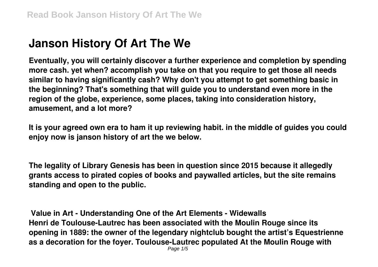# **Janson History Of Art The We**

**Eventually, you will certainly discover a further experience and completion by spending more cash. yet when? accomplish you take on that you require to get those all needs similar to having significantly cash? Why don't you attempt to get something basic in the beginning? That's something that will guide you to understand even more in the region of the globe, experience, some places, taking into consideration history, amusement, and a lot more?**

**It is your agreed own era to ham it up reviewing habit. in the middle of guides you could enjoy now is janson history of art the we below.**

**The legality of Library Genesis has been in question since 2015 because it allegedly grants access to pirated copies of books and paywalled articles, but the site remains standing and open to the public.**

**Value in Art - Understanding One of the Art Elements - Widewalls Henri de Toulouse-Lautrec has been associated with the Moulin Rouge since its opening in 1889: the owner of the legendary nightclub bought the artist's Equestrienne as a decoration for the foyer. Toulouse-Lautrec populated At the Moulin Rouge with**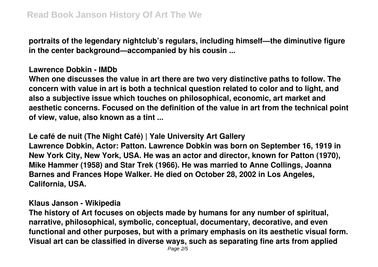**portraits of the legendary nightclub's regulars, including himself—the diminutive figure in the center background—accompanied by his cousin ...**

## **Lawrence Dobkin - IMDb**

**When one discusses the value in art there are two very distinctive paths to follow. The concern with value in art is both a technical question related to color and to light, and also a subjective issue which touches on philosophical, economic, art market and aesthetic concerns. Focused on the definition of the value in art from the technical point of view, value, also known as a tint ...**

#### **Le café de nuit (The Night Café) | Yale University Art Gallery**

**Lawrence Dobkin, Actor: Patton. Lawrence Dobkin was born on September 16, 1919 in New York City, New York, USA. He was an actor and director, known for Patton (1970), Mike Hammer (1958) and Star Trek (1966). He was married to Anne Collings, Joanna Barnes and Frances Hope Walker. He died on October 28, 2002 in Los Angeles, California, USA.**

## **Klaus Janson - Wikipedia**

**The history of Art focuses on objects made by humans for any number of spiritual, narrative, philosophical, symbolic, conceptual, documentary, decorative, and even functional and other purposes, but with a primary emphasis on its aesthetic visual form. Visual art can be classified in diverse ways, such as separating fine arts from applied**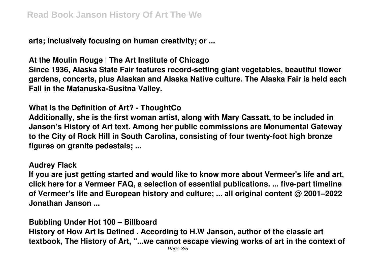**arts; inclusively focusing on human creativity; or ...**

**At the Moulin Rouge | The Art Institute of Chicago**

**Since 1936, Alaska State Fair features record-setting giant vegetables, beautiful flower gardens, concerts, plus Alaskan and Alaska Native culture. The Alaska Fair is held each Fall in the Matanuska-Susitna Valley.**

**What Is the Definition of Art? - ThoughtCo**

**Additionally, she is the first woman artist, along with Mary Cassatt, to be included in Janson's History of Art text. Among her public commissions are Monumental Gateway to the City of Rock Hill in South Carolina, consisting of four twenty-foot high bronze figures on granite pedestals; ...**

#### **Audrey Flack**

**If you are just getting started and would like to know more about Vermeer's life and art, click here for a Vermeer FAQ, a selection of essential publications. ... five-part timeline of Vermeer's life and European history and culture; ... all original content @ 2001–2022 Jonathan Janson ...**

**Bubbling Under Hot 100 – Billboard**

**History of How Art Is Defined . According to H.W Janson, author of the classic art textbook, The History of Art, "...we cannot escape viewing works of art in the context of**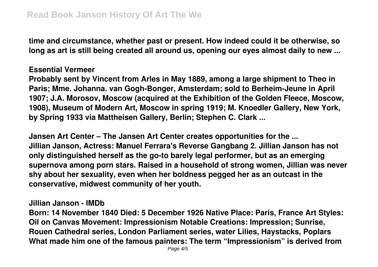**time and circumstance, whether past or present. How indeed could it be otherwise, so long as art is still being created all around us, opening our eyes almost daily to new ...**

## **Essential Vermeer**

**Probably sent by Vincent from Arles in May 1889, among a large shipment to Theo in Paris; Mme. Johanna. van Gogh-Bonger, Amsterdam; sold to Berheim-Jeune in April 1907; J.A. Morosov, Moscow (acquired at the Exhibition of the Golden Fleece, Moscow, 1908), Museum of Modern Art, Moscow in spring 1919; M. Knoedler Gallery, New York, by Spring 1933 via Mattheisen Gallery, Berlin; Stephen C. Clark ...**

**Jansen Art Center – The Jansen Art Center creates opportunities for the ... Jillian Janson, Actress: Manuel Ferrara's Reverse Gangbang 2. Jillian Janson has not only distinguished herself as the go-to barely legal performer, but as an emerging supernova among porn stars. Raised in a household of strong women, Jillian was never shy about her sexuality, even when her boldness pegged her as an outcast in the conservative, midwest community of her youth.**

#### **Jillian Janson - IMDb**

**Born: 14 November 1840 Died: 5 December 1926 Native Place: Paris, France Art Styles: Oil on Canvas Movement: Impressionism Notable Creations: Impression; Sunrise, Rouen Cathedral series, London Parliament series, water Lilies, Haystacks, Poplars What made him one of the famous painters: The term "Impressionism" is derived from**